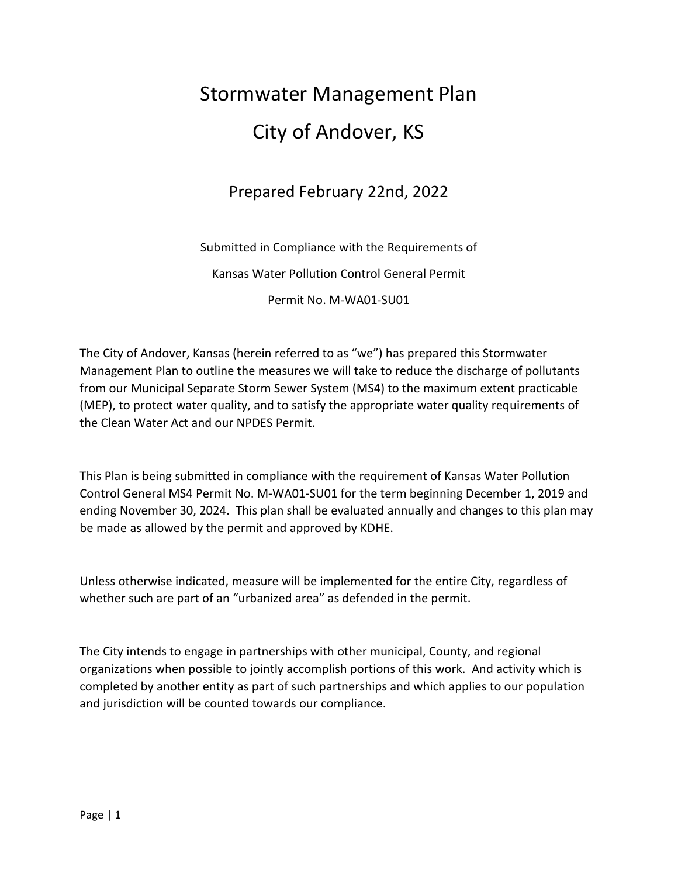# Stormwater Management Plan City of Andover, KS

## Prepared February 22nd, 2022

Submitted in Compliance with the Requirements of

Kansas Water Pollution Control General Permit

Permit No. M-WA01-SU01

The City of Andover, Kansas (herein referred to as "we") has prepared this Stormwater Management Plan to outline the measures we will take to reduce the discharge of pollutants from our Municipal Separate Storm Sewer System (MS4) to the maximum extent practicable (MEP), to protect water quality, and to satisfy the appropriate water quality requirements of the Clean Water Act and our NPDES Permit.

This Plan is being submitted in compliance with the requirement of Kansas Water Pollution Control General MS4 Permit No. M-WA01-SU01 for the term beginning December 1, 2019 and ending November 30, 2024. This plan shall be evaluated annually and changes to this plan may be made as allowed by the permit and approved by KDHE.

Unless otherwise indicated, measure will be implemented for the entire City, regardless of whether such are part of an "urbanized area" as defended in the permit.

The City intends to engage in partnerships with other municipal, County, and regional organizations when possible to jointly accomplish portions of this work. And activity which is completed by another entity as part of such partnerships and which applies to our population and jurisdiction will be counted towards our compliance.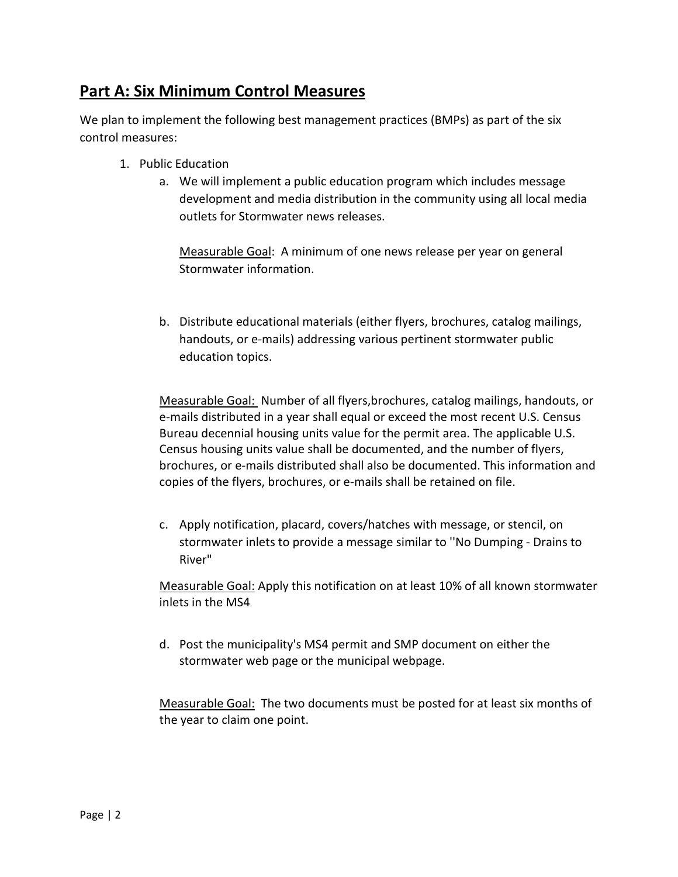#### **Part A: Six Minimum Control Measures**

We plan to implement the following best management practices (BMPs) as part of the six control measures:

- 1. Public Education
	- a. We will implement a public education program which includes message development and media distribution in the community using all local media outlets for Stormwater news releases.

Measurable Goal: A minimum of one news release per year on general Stormwater information.

b. Distribute educational materials (either flyers, brochures, catalog mailings, handouts, or e-mails) addressing various pertinent stormwater public education topics.

Measurable Goal: Number of all flyers,brochures, catalog mailings, handouts, or e-mails distributed in a year shall equal or exceed the most recent U.S. Census Bureau decennial housing units value for the permit area. The applicable U.S. Census housing units value shall be documented, and the number of flyers, brochures, or e-mails distributed shall also be documented. This information and copies of the flyers, brochures, or e-mails shall be retained on file.

c. Apply notification, placard, covers/hatches with message, or stencil, on stormwater inlets to provide a message similar to ''No Dumping - Drains to River"

Measurable Goal: Apply this notification on at least 10% of all known stormwater inlets in the MS4.

d. Post the municipality's MS4 permit and SMP document on either the stormwater web page or the municipal webpage.

Measurable Goal: The two documents must be posted for at least six months of the year to claim one point.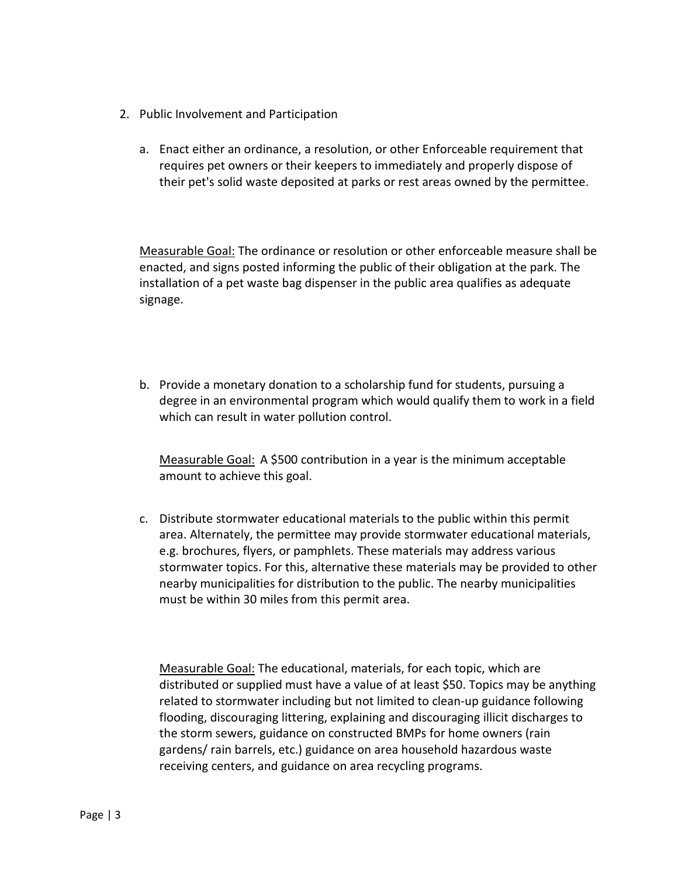- 2. Public Involvement and Participation
	- a. Enact either an ordinance, a resolution, or other Enforceable requirement that requires pet owners or their keepers to immediately and properly dispose of their pet's solid waste deposited at parks or rest areas owned by the permittee.

Measurable Goal: The ordinance or resolution or other enforceable measure shall be enacted, and signs posted informing the public of their obligation at the park. The installation of a pet waste bag dispenser in the public area qualifies as adequate signage.

b. Provide a monetary donation to a scholarship fund for students, pursuing a degree in an environmental program which would qualify them to work in a field which can result in water pollution control.

Measurable Goal: A \$500 contribution in a year is the minimum acceptable amount to achieve this goal.

c. Distribute stormwater educational materials to the public within this permit area. Alternately, the permittee may provide stormwater educational materials, e.g. brochures, flyers, or pamphlets. These materials may address various stormwater topics. For this, alternative these materials may be provided to other nearby municipalities for distribution to the public. The nearby municipalities must be within 30 miles from this permit area.

Measurable Goal: The educational, materials, for each topic, which are distributed or supplied must have a value of at least \$50. Topics may be anything related to stormwater including but not limited to clean-up guidance following flooding, discouraging littering, explaining and discouraging illicit discharges to the storm sewers, guidance on constructed BMPs for home owners (rain gardens/ rain barrels, etc.) guidance on area household hazardous waste receiving centers, and guidance on area recycling programs.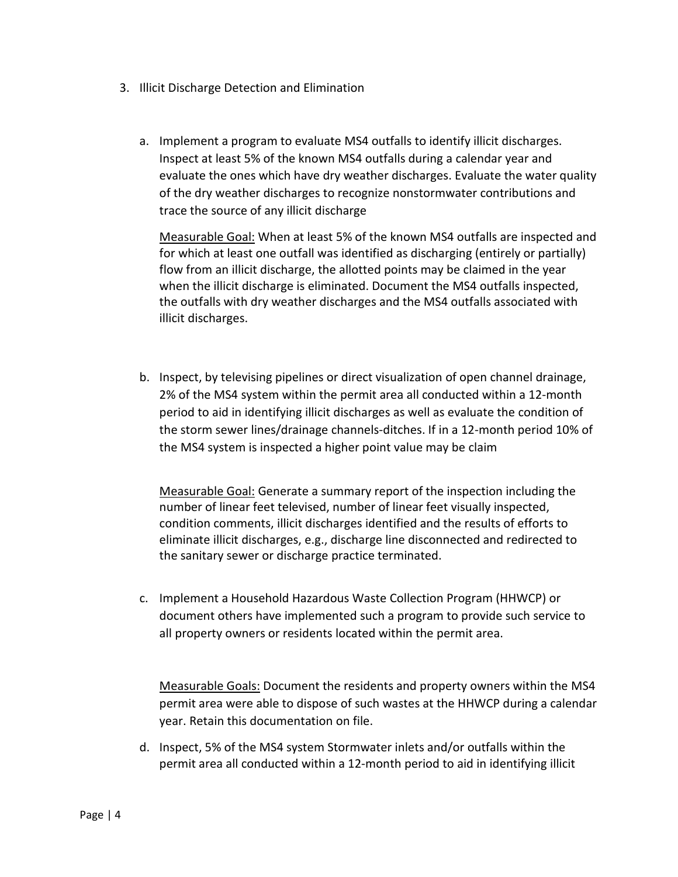- 3. Illicit Discharge Detection and Elimination
	- a. Implement a program to evaluate MS4 outfalls to identify illicit discharges. Inspect at least 5% of the known MS4 outfalls during a calendar year and evaluate the ones which have dry weather discharges. Evaluate the water quality of the dry weather discharges to recognize nonstormwater contributions and trace the source of any illicit discharge

Measurable Goal: When at least 5% of the known MS4 outfalls are inspected and for which at least one outfall was identified as discharging (entirely or partially) flow from an illicit discharge, the allotted points may be claimed in the year when the illicit discharge is eliminated. Document the MS4 outfalls inspected, the outfalls with dry weather discharges and the MS4 outfalls associated with illicit discharges.

b. Inspect, by televising pipelines or direct visualization of open channel drainage, 2% of the MS4 system within the permit area all conducted within a 12-month period to aid in identifying illicit discharges as well as evaluate the condition of the storm sewer lines/drainage channels-ditches. If in a 12-month period 10% of the MS4 system is inspected a higher point value may be claim

Measurable Goal: Generate a summary report of the inspection including the number of linear feet televised, number of linear feet visually inspected, condition comments, illicit discharges identified and the results of efforts to eliminate illicit discharges, e.g., discharge line disconnected and redirected to the sanitary sewer or discharge practice terminated.

c. Implement a Household Hazardous Waste Collection Program (HHWCP) or document others have implemented such a program to provide such service to all property owners or residents located within the permit area.

Measurable Goals: Document the residents and property owners within the MS4 permit area were able to dispose of such wastes at the HHWCP during a calendar year. Retain this documentation on file.

d. Inspect, 5% of the MS4 system Stormwater inlets and/or outfalls within the permit area all conducted within a 12-month period to aid in identifying illicit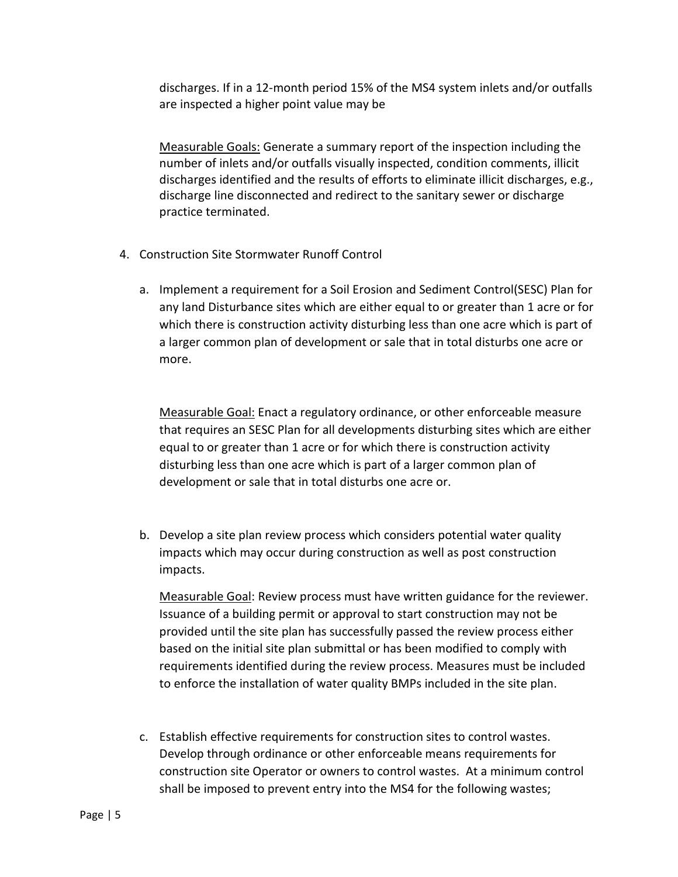discharges. If in a 12-month period 15% of the MS4 system inlets and/or outfalls are inspected a higher point value may be

Measurable Goals: Generate a summary report of the inspection including the number of inlets and/or outfalls visually inspected, condition comments, illicit discharges identified and the results of efforts to eliminate illicit discharges, e.g., discharge line disconnected and redirect to the sanitary sewer or discharge practice terminated.

- 4. Construction Site Stormwater Runoff Control
	- a. Implement a requirement for a Soil Erosion and Sediment Control(SESC) Plan for any land Disturbance sites which are either equal to or greater than 1 acre or for which there is construction activity disturbing less than one acre which is part of a larger common plan of development or sale that in total disturbs one acre or more.

Measurable Goal: Enact a regulatory ordinance, or other enforceable measure that requires an SESC Plan for all developments disturbing sites which are either equal to or greater than 1 acre or for which there is construction activity disturbing less than one acre which is part of a larger common plan of development or sale that in total disturbs one acre or.

b. Develop a site plan review process which considers potential water quality impacts which may occur during construction as well as post construction impacts.

Measurable Goal: Review process must have written guidance for the reviewer. Issuance of a building permit or approval to start construction may not be provided until the site plan has successfully passed the review process either based on the initial site plan submittal or has been modified to comply with requirements identified during the review process. Measures must be included to enforce the installation of water quality BMPs included in the site plan.

c. Establish effective requirements for construction sites to control wastes. Develop through ordinance or other enforceable means requirements for construction site Operator or owners to control wastes. At a minimum control shall be imposed to prevent entry into the MS4 for the following wastes;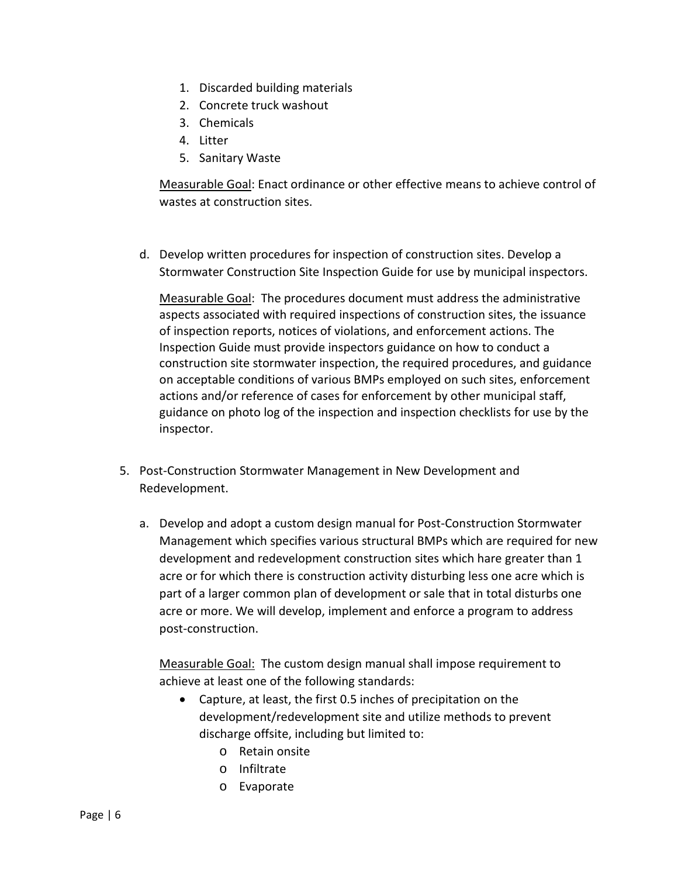- 1. Discarded building materials
- 2. Concrete truck washout
- 3. Chemicals
- 4. Litter
- 5. Sanitary Waste

Measurable Goal: Enact ordinance or other effective means to achieve control of wastes at construction sites.

d. Develop written procedures for inspection of construction sites. Develop a Stormwater Construction Site Inspection Guide for use by municipal inspectors.

Measurable Goal: The procedures document must address the administrative aspects associated with required inspections of construction sites, the issuance of inspection reports, notices of violations, and enforcement actions. The Inspection Guide must provide inspectors guidance on how to conduct a construction site stormwater inspection, the required procedures, and guidance on acceptable conditions of various BMPs employed on such sites, enforcement actions and/or reference of cases for enforcement by other municipal staff, guidance on photo log of the inspection and inspection checklists for use by the inspector.

- 5. Post-Construction Stormwater Management in New Development and Redevelopment.
	- a. Develop and adopt a custom design manual for Post-Construction Stormwater Management which specifies various structural BMPs which are required for new development and redevelopment construction sites which hare greater than 1 acre or for which there is construction activity disturbing less one acre which is part of a larger common plan of development or sale that in total disturbs one acre or more. We will develop, implement and enforce a program to address post-construction.

Measurable Goal: The custom design manual shall impose requirement to achieve at least one of the following standards:

- Capture, at least, the first 0.5 inches of precipitation on the development/redevelopment site and utilize methods to prevent discharge offsite, including but limited to:
	- o Retain onsite
	- o Infiltrate
	- o Evaporate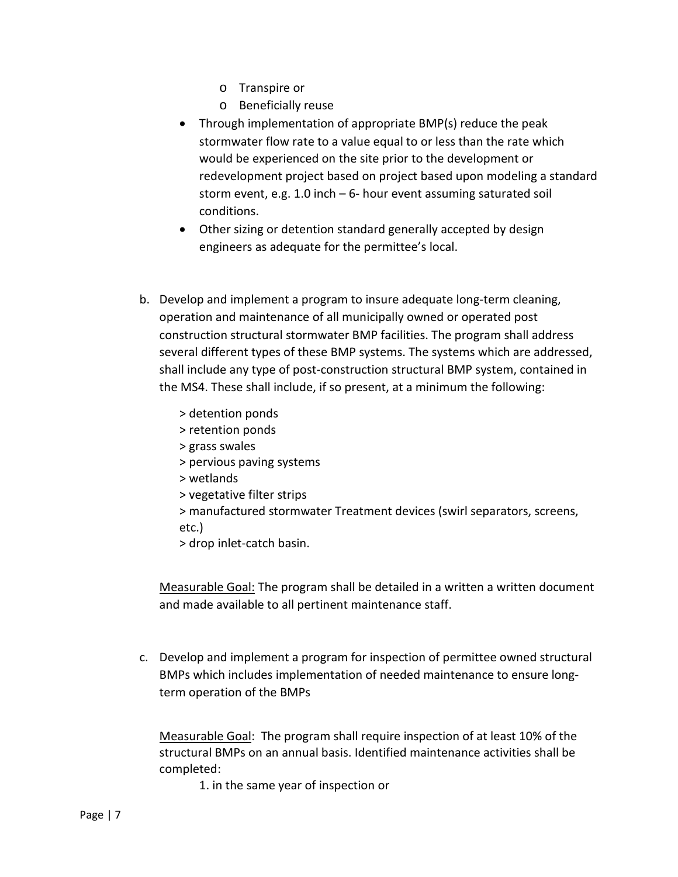- o Transpire or
- o Beneficially reuse
- Through implementation of appropriate BMP(s) reduce the peak stormwater flow rate to a value equal to or less than the rate which would be experienced on the site prior to the development or redevelopment project based on project based upon modeling a standard storm event, e.g. 1.0 inch – 6- hour event assuming saturated soil conditions.
- Other sizing or detention standard generally accepted by design engineers as adequate for the permittee's local.
- b. Develop and implement a program to insure adequate long-term cleaning, operation and maintenance of all municipally owned or operated post construction structural stormwater BMP facilities. The program shall address several different types of these BMP systems. The systems which are addressed, shall include any type of post-construction structural BMP system, contained in the MS4. These shall include, if so present, at a minimum the following:
	- > detention ponds
	- > retention ponds
	- > grass swales
	- > pervious paving systems
	- > wetlands
	- > vegetative filter strips
	- > manufactured stormwater Treatment devices (swirl separators, screens, etc.)
	- > drop inlet-catch basin.

Measurable Goal: The program shall be detailed in a written a written document and made available to all pertinent maintenance staff.

c. Develop and implement a program for inspection of permittee owned structural BMPs which includes implementation of needed maintenance to ensure longterm operation of the BMPs

Measurable Goal: The program shall require inspection of at least 10% of the structural BMPs on an annual basis. Identified maintenance activities shall be completed:

1. in the same year of inspection or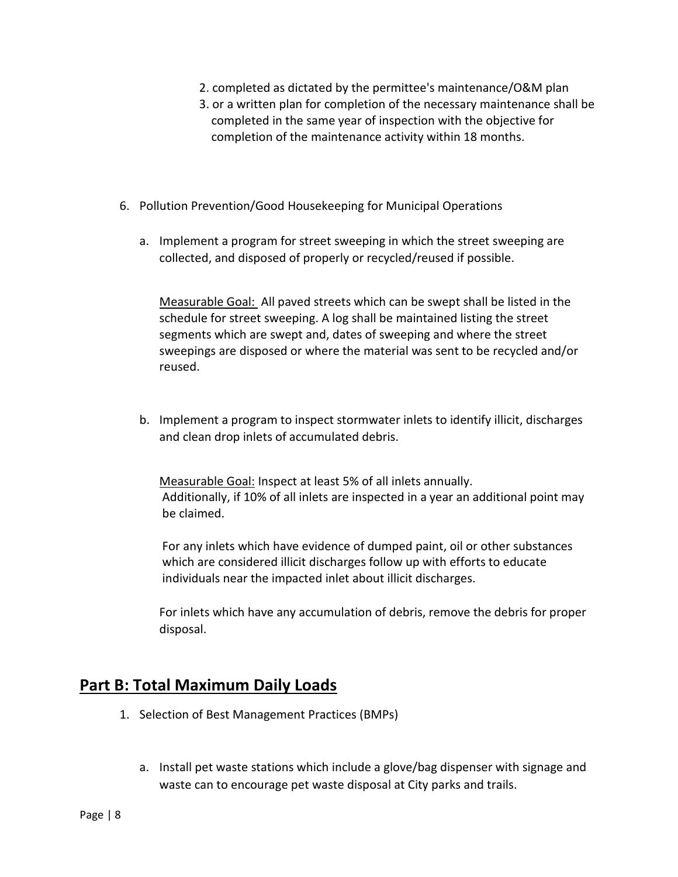- 2. completed as dictated by the permittee's maintenance/O&M plan
- 3. or a written plan for completion of the necessary maintenance shall be completed in the same year of inspection with the objective for completion of the maintenance activity within 18 months.
- 6. Pollution Prevention/Good Housekeeping for Municipal Operations
	- a. Implement a program for street sweeping in which the street sweeping are collected, and disposed of properly or recycled/reused if possible.

Measurable Goal: All paved streets which can be swept shall be listed in the schedule for street sweeping. A log shall be maintained listing the street segments which are swept and, dates of sweeping and where the street sweepings are disposed or where the material was sent to be recycled and/or reused.

b. Implement a program to inspect stormwater inlets to identify illicit, discharges and clean drop inlets of accumulated debris.

Measurable Goal: Inspect at least 5% of all inlets annually. Additionally, if 10% of all inlets are inspected in a year an additional point may be claimed.

For any inlets which have evidence of dumped paint, oil or other substances which are considered illicit discharges follow up with efforts to educate individuals near the impacted inlet about illicit discharges.

For inlets which have any accumulation of debris, remove the debris for proper disposal.

#### **Part B: Total Maximum Daily Loads**

- 1. Selection of Best Management Practices (BMPs)
	- a. Install pet waste stations which include a glove/bag dispenser with signage and waste can to encourage pet waste disposal at City parks and trails.